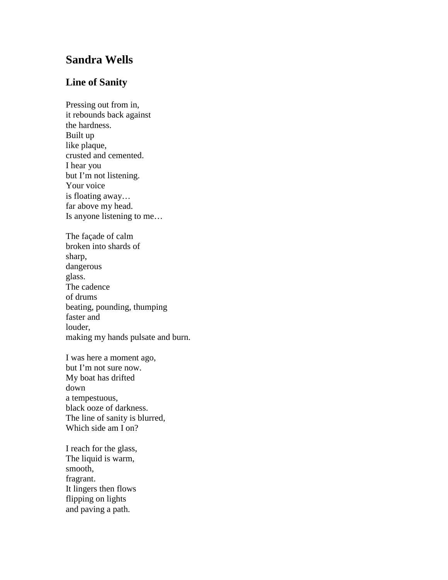## **Sandra Wells**

## **Line of Sanity**

Pressing out from in, it rebounds back against the hardness. Built up like plaque, crusted and cemented. I hear you but I'm not listening. Your voice is floating away… far above my head. Is anyone listening to me… The façade of calm broken into shards of sharp, dangerous glass. The cadence of drums beating, pounding, thumping faster and louder, making my hands pulsate and burn.

I was here a moment ago, but I'm not sure now. My boat has drifted down a tempestuous, black ooze of darkness. The line of sanity is blurred, Which side am I on?

I reach for the glass, The liquid is warm, smooth, fragrant. It lingers then flows flipping on lights and paving a path.